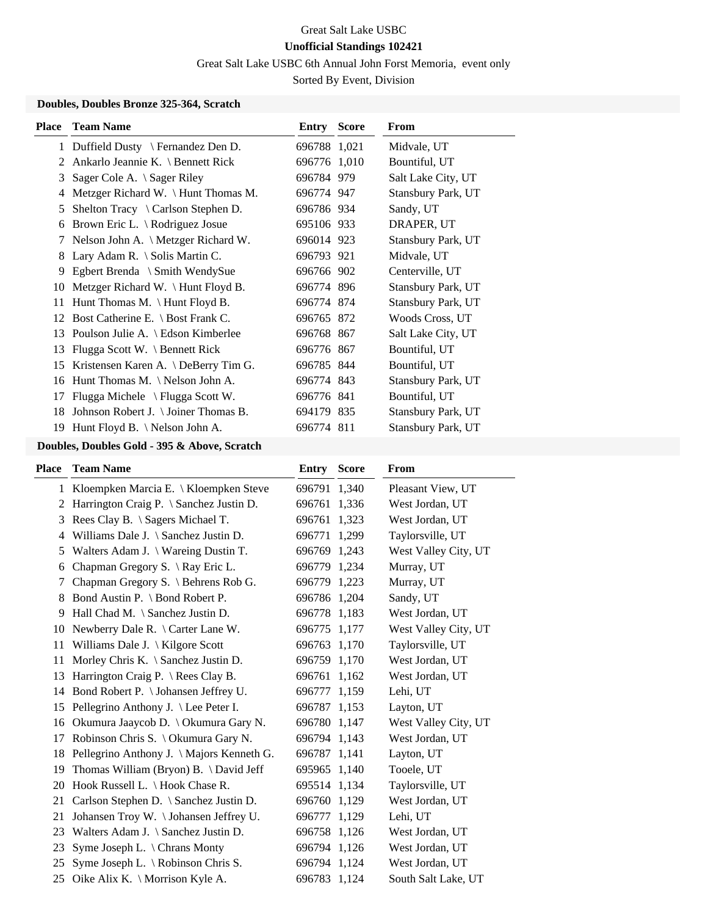# Great Salt Lake USBC **Unofficial Standings 102421**

Great Salt Lake USBC 6th Annual John Forst Memoria, event only

Sorted By Event, Division

#### **Doubles, Doubles Bronze 325-364, Scratch**

| <b>Place</b> | <b>Team Name</b>                              | <b>Entry Score</b> | <b>From</b>        |
|--------------|-----------------------------------------------|--------------------|--------------------|
| $\mathbf{1}$ | Duffield Dusty $\mathcal{F}$ Fernandez Den D. | 696788 1,021       | Midvale, UT        |
| 2            | Ankarlo Jeannie K. \ Bennett Rick             | 696776 1,010       | Bountiful, UT      |
| 3            | Sager Cole A. \ Sager Riley                   | 696784 979         | Salt Lake City, UT |
| 4            | Metzger Richard W. \ Hunt Thomas M.           | 696774 947         | Stansbury Park, UT |
| 5            | Shelton Tracy $\setminus$ Carlson Stephen D.  | 696786 934         | Sandy, UT          |
| 6            | Brown Eric L. $\setminus$ Rodriguez Josue     | 695106 933         | DRAPER, UT         |
| 7            | Nelson John A. \ Metzger Richard W.           | 696014 923         | Stansbury Park, UT |
| 8            | Lary Adam R. \ Solis Martin C.                | 696793 921         | Midvale, UT        |
| 9            | Egbert Brenda \ Smith WendySue                | 696766 902         | Centerville, UT    |
| 10           | Metzger Richard W. \Hunt Floyd B.             | 696774 896         | Stansbury Park, UT |
| 11           | Hunt Thomas M. $\{$ Hunt Floyd B.             | 696774 874         | Stansbury Park, UT |
|              | 12 Bost Catherine E. \ Bost Frank C.          | 696765 872         | Woods Cross, UT    |
| 13           | Poulson Julie A. $\setminus$ Edson Kimberlee  | 696768 867         | Salt Lake City, UT |
| 13           | Flugga Scott W. \ Bennett Rick                | 696776 867         | Bountiful, UT      |
| 15           | Kristensen Karen A. $\Delta$ DeBerry Tim G.   | 696785 844         | Bountiful, UT      |
| 16           | Hunt Thomas M. $\N$ elson John A.             | 696774 843         | Stansbury Park, UT |
| 17           | Flugga Michele \ Flugga Scott W.              | 696776 841         | Bountiful, UT      |
| 18           | Johnson Robert J. \ Joiner Thomas B.          | 694179 835         | Stansbury Park, UT |
| 19           | Hunt Floyd B. $\backslash$ Nelson John A.     | 696774 811         | Stansbury Park, UT |

## **Doubles, Doubles Gold - 395 & Above, Scratch**

| Place | <b>Team Name</b>                              | <b>Entry</b> | <b>Score</b> | From                 |
|-------|-----------------------------------------------|--------------|--------------|----------------------|
|       | 1 Kloempken Marcia E. \ Kloempken Steve       | 696791 1,340 |              | Pleasant View, UT    |
| 2     | Harrington Craig P. \ Sanchez Justin D.       | 696761 1,336 |              | West Jordan, UT      |
| 3     | Rees Clay B. \ Sagers Michael T.              | 696761       | 1,323        | West Jordan, UT      |
| 4     | Williams Dale J. $\S$ anchez Justin D.        | 696771 1,299 |              | Taylorsville, UT     |
| 5     | Walters Adam J. $\setminus$ Wareing Dustin T. | 696769 1,243 |              | West Valley City, UT |
| 6     | Chapman Gregory S. \ Ray Eric L.              | 696779 1,234 |              | Murray, UT           |
| 7     | Chapman Gregory S. \ Behrens Rob G.           | 696779 1,223 |              | Murray, UT           |
| 8     | Bond Austin P. \ Bond Robert P.               | 696786 1,204 |              | Sandy, UT            |
| 9     | Hall Chad M. \ Sanchez Justin D.              | 696778 1,183 |              | West Jordan, UT      |
| 10    | Newberry Dale R. \ Carter Lane W.             | 696775 1,177 |              | West Valley City, UT |
| 11    | Williams Dale J. $\langle$ Kilgore Scott      | 696763       | 1,170        | Taylorsville, UT     |
| 11    | Morley Chris K. $\setminus$ Sanchez Justin D. | 696759 1,170 |              | West Jordan, UT      |
| 13    | Harrington Craig P. $\Re$ Rees Clay B.        | 696761 1,162 |              | West Jordan, UT      |
| 14    | Bond Robert P. \ Johansen Jeffrey U.          | 696777 1,159 |              | Lehi, UT             |
| 15    | Pellegrino Anthony J. \ Lee Peter I.          | 696787 1,153 |              | Layton, UT           |
| 16    | Okumura Jaaycob D. \ Okumura Gary N.          | 696780 1,147 |              | West Valley City, UT |
| 17    | Robinson Chris S. \ Okumura Gary N.           | 696794 1,143 |              | West Jordan, UT      |
| 18    | Pellegrino Anthony J. \ Majors Kenneth G.     | 696787 1,141 |              | Layton, UT           |
| 19    | Thomas William (Bryon) B. \David Jeff         | 695965 1,140 |              | Tooele, UT           |
| 20    | Hook Russell L. \ Hook Chase R.               | 695514 1,134 |              | Taylorsville, UT     |
| 21    | Carlson Stephen D. \ Sanchez Justin D.        | 696760 1,129 |              | West Jordan, UT      |
| 21    | Johansen Troy W. \Johansen Jeffrey U.         | 696777       | 1,129        | Lehi, UT             |
| 23    | Walters Adam J. $\S$ anchez Justin D.         | 696758 1,126 |              | West Jordan, UT      |
| 23    | Syme Joseph L. \ Chrans Monty                 | 696794 1,126 |              | West Jordan, UT      |
| 25    | Syme Joseph L. \ Robinson Chris S.            | 696794 1,124 |              | West Jordan, UT      |
| 25    | Oike Alix K. \ Morrison Kyle A.               | 696783 1,124 |              | South Salt Lake, UT  |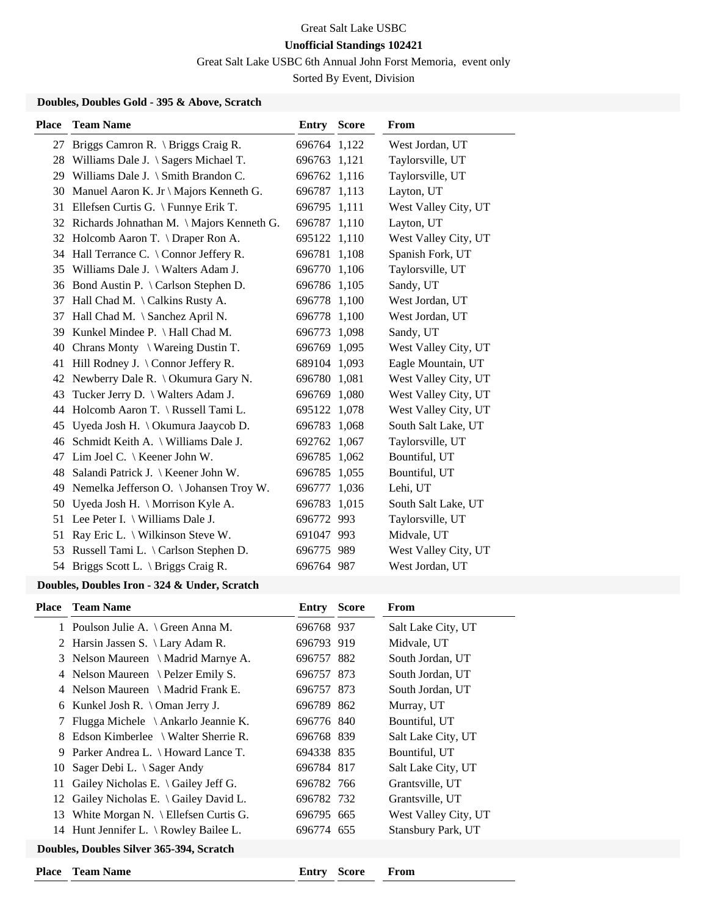## Great Salt Lake USBC **Unofficial Standings 102421**

Great Salt Lake USBC 6th Annual John Forst Memoria, event only

Sorted By Event, Division

### **Doubles, Doubles Gold - 395 & Above, Scratch**

| <b>Place</b> | <b>Team Name</b>                               | Entry        | <b>Score</b> | From                 |
|--------------|------------------------------------------------|--------------|--------------|----------------------|
| 27           | Briggs Camron R. \ Briggs Craig R.             | 696764 1,122 |              | West Jordan, UT      |
|              | 28 Williams Dale J. \ Sagers Michael T.        | 696763 1,121 |              | Taylorsville, UT     |
| 29           | Williams Dale J. $\Im$ Smith Brandon C.        | 696762 1,116 |              | Taylorsville, UT     |
| 30           | Manuel Aaron K. Jr \ Majors Kenneth G.         | 696787 1,113 |              | Layton, UT           |
| 31           | Ellefsen Curtis G. \ Funnye Erik T.            | 696795 1,111 |              | West Valley City, UT |
|              | 32 Richards Johnathan M. \ Majors Kenneth G.   | 696787 1,110 |              | Layton, UT           |
| 32           | Holcomb Aaron T. \ Draper Ron A.               | 695122 1,110 |              | West Valley City, UT |
| 34           | Hall Terrance C. $\setminus$ Connor Jeffery R. | 696781 1,108 |              | Spanish Fork, UT     |
|              | 35 Williams Dale J. \ Walters Adam J.          | 696770 1,106 |              | Taylorsville, UT     |
|              | 36 Bond Austin P. \ Carlson Stephen D.         | 696786 1,105 |              | Sandy, UT            |
| 37           | Hall Chad M. \ Calkins Rusty A.                | 696778 1,100 |              | West Jordan, UT      |
| 37           | Hall Chad M. \ Sanchez April N.                | 696778 1,100 |              | West Jordan, UT      |
| 39           | Kunkel Mindee P. \ Hall Chad M.                | 696773 1,098 |              | Sandy, UT            |
| 40           | Chrans Monty $\setminus$ Wareing Dustin T.     | 696769 1,095 |              | West Valley City, UT |
| 41           | Hill Rodney J. $\setminus$ Connor Jeffery R.   | 689104 1,093 |              | Eagle Mountain, UT   |
| 42           | Newberry Dale R. \ Okumura Gary N.             | 696780 1,081 |              | West Valley City, UT |
| 43           | Tucker Jerry D. \ Walters Adam J.              | 696769 1,080 |              | West Valley City, UT |
| 44           | Holcomb Aaron T. \ Russell Tami L.             | 695122 1,078 |              | West Valley City, UT |
| 45           | Uyeda Josh H. \ Okumura Jaaycob D.             | 696783       | 1,068        | South Salt Lake, UT  |
| 46           | Schmidt Keith A. \ Williams Dale J.            | 692762 1,067 |              | Taylorsville, UT     |
| 47           | Lim Joel C. \ Keener John W.                   | 696785 1,062 |              | Bountiful, UT        |
| 48           | Salandi Patrick J. \ Keener John W.            | 696785 1,055 |              | Bountiful, UT        |
| 49           | Nemelka Jefferson O. \ Johansen Troy W.        | 696777       | 1,036        | Lehi, UT             |
| 50           | Uyeda Josh H. \ Morrison Kyle A.               | 696783       | 1,015        | South Salt Lake, UT  |
|              | 51 Lee Peter I. \ Williams Dale J.             | 696772 993   |              | Taylorsville, UT     |
| 51           | Ray Eric L. \ Wilkinson Steve W.               | 691047 993   |              | Midvale, UT          |
| 53           | Russell Tami L. \ Carlson Stephen D.           | 696775 989   |              | West Valley City, UT |
| 54           | Briggs Scott L. $\langle$ Briggs Craig R.      | 696764 987   |              | West Jordan, UT      |
|              |                                                |              |              |                      |

## **Doubles, Doubles Iron - 324 & Under, Scratch**

| <b>Place</b>                             | <b>Team Name</b>                                    | <b>Entry Score</b> |              | From                 |
|------------------------------------------|-----------------------------------------------------|--------------------|--------------|----------------------|
|                                          | 1 Poulson Julie A. \ Green Anna M.                  | 696768 937         |              | Salt Lake City, UT   |
| 2                                        | Harsin Jassen S. \ Lary Adam R.                     | 696793 919         |              | Midvale, UT          |
| 3                                        | Nelson Maureen $\setminus$ Madrid Marnye A.         | 696757 882         |              | South Jordan, UT     |
| 4                                        | Nelson Maureen \ Pelzer Emily S.                    | 696757 873         |              | South Jordan, UT     |
| 4                                        | Nelson Maureen $\setminus$ Madrid Frank E.          | 696757 873         |              | South Jordan, UT     |
| 6                                        | Kunkel Josh R. $\{Oman Jerry J.$                    | 696789 862         |              | Murray, UT           |
| 7                                        | Flugga Michele $\setminus$ Ankarlo Jeannie K.       | 696776 840         |              | Bountiful, UT        |
| 8                                        | Edson Kimberlee $\setminus$ Walter Sherrie R.       | 696768 839         |              | Salt Lake City, UT   |
| 9                                        | Parker Andrea L. \ Howard Lance T.                  | 694338 835         |              | Bountiful, UT        |
| 10                                       | Sager Debi L. $\setminus$ Sager Andy                | 696784 817         |              | Salt Lake City, UT   |
| 11                                       | Gailey Nicholas E. $\setminus$ Gailey Jeff G.       | 696782 766         |              | Grantsville, UT      |
|                                          | 12 Gailey Nicholas E. \ Gailey David L.             | 696782 732         |              | Grantsville, UT      |
| 13                                       | White Morgan N. $\left\{\right.$ Ellefsen Curtis G. | 696795 665         |              | West Valley City, UT |
|                                          | 14 Hunt Jennifer L. \ Rowley Bailee L.              | 696774 655         |              | Stansbury Park, UT   |
| Doubles, Doubles Silver 365-394, Scratch |                                                     |                    |              |                      |
| <b>Place</b>                             | <b>Team Name</b>                                    | Entry              | <b>Score</b> | From                 |